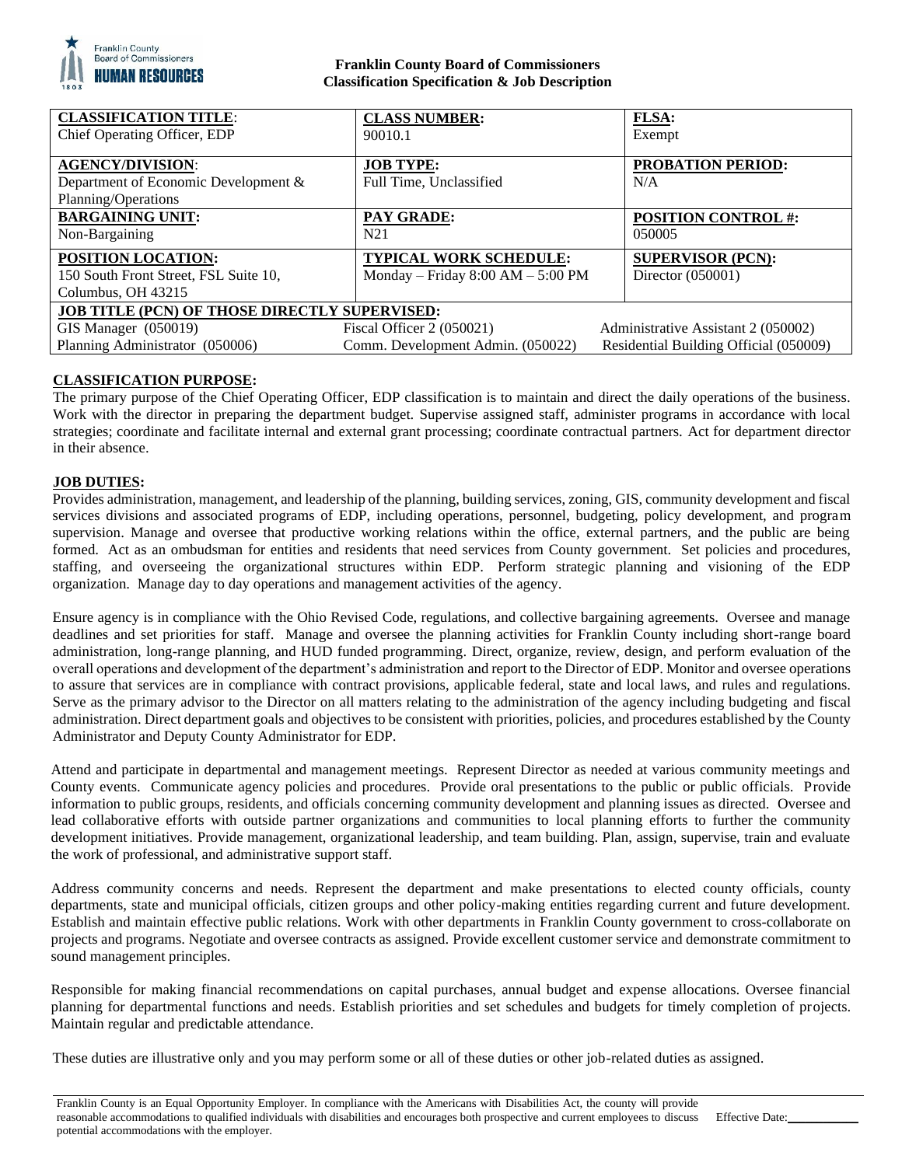

# **Franklin County Board of Commissioners Classification Specification & Job Description**

| <b>CLASSIFICATION TITLE:</b>                  | <b>CLASS NUMBER:</b>              | <b>FLSA:</b>                           |
|-----------------------------------------------|-----------------------------------|----------------------------------------|
| Chief Operating Officer, EDP                  | 90010.1                           | Exempt                                 |
|                                               |                                   |                                        |
| <b>AGENCY/DIVISION:</b>                       | <b>JOB TYPE:</b>                  | <b>PROBATION PERIOD:</b>               |
| Department of Economic Development &          | Full Time, Unclassified           | N/A                                    |
| Planning/Operations                           |                                   |                                        |
| <b>BARGAINING UNIT:</b>                       | <b>PAY GRADE:</b>                 | <b>POSITION CONTROL #:</b>             |
| Non-Bargaining                                | N <sub>21</sub>                   | 050005                                 |
| POSITION LOCATION:                            | <b>TYPICAL WORK SCHEDULE:</b>     | <b>SUPERVISOR (PCN):</b>               |
| 150 South Front Street, FSL Suite 10,         | Monday - Friday 8:00 AM - 5:00 PM | Director (050001)                      |
| Columbus, OH 43215                            |                                   |                                        |
| JOB TITLE (PCN) OF THOSE DIRECTLY SUPERVISED: |                                   |                                        |
| GIS Manager (050019)                          | Fiscal Officer $2(050021)$        | Administrative Assistant 2 (050002)    |
| Planning Administrator (050006)               | Comm. Development Admin. (050022) | Residential Building Official (050009) |

# **CLASSIFICATION PURPOSE:**

The primary purpose of the Chief Operating Officer, EDP classification is to maintain and direct the daily operations of the business. Work with the director in preparing the department budget. Supervise assigned staff, administer programs in accordance with local strategies; coordinate and facilitate internal and external grant processing; coordinate contractual partners. Act for department director in their absence.

# **JOB DUTIES:**

Provides administration, management, and leadership of the planning, building services, zoning, GIS, community development and fiscal services divisions and associated programs of EDP, including operations, personnel, budgeting, policy development, and program supervision. Manage and oversee that productive working relations within the office, external partners, and the public are being formed. Act as an ombudsman for entities and residents that need services from County government. Set policies and procedures, staffing, and overseeing the organizational structures within EDP. Perform strategic planning and visioning of the EDP organization. Manage day to day operations and management activities of the agency.

Ensure agency is in compliance with the Ohio Revised Code, regulations, and collective bargaining agreements. Oversee and manage deadlines and set priorities for staff. Manage and oversee the planning activities for Franklin County including short-range board administration, long-range planning, and HUD funded programming. Direct, organize, review, design, and perform evaluation of the overall operations and development of the department's administration and report to the Director of EDP. Monitor and oversee operations to assure that services are in compliance with contract provisions, applicable federal, state and local laws, and rules and regulations. Serve as the primary advisor to the Director on all matters relating to the administration of the agency including budgeting and fiscal administration. Direct department goals and objectives to be consistent with priorities, policies, and procedures established by the County Administrator and Deputy County Administrator for EDP.

Attend and participate in departmental and management meetings. Represent Director as needed at various community meetings and County events. Communicate agency policies and procedures. Provide oral presentations to the public or public officials. Provide information to public groups, residents, and officials concerning community development and planning issues as directed. Oversee and lead collaborative efforts with outside partner organizations and communities to local planning efforts to further the community development initiatives. Provide management, organizational leadership, and team building. Plan, assign, supervise, train and evaluate the work of professional, and administrative support staff.

Address community concerns and needs. Represent the department and make presentations to elected county officials, county departments, state and municipal officials, citizen groups and other policy-making entities regarding current and future development. Establish and maintain effective public relations. Work with other departments in Franklin County government to cross-collaborate on projects and programs. Negotiate and oversee contracts as assigned. Provide excellent customer service and demonstrate commitment to sound management principles.

Responsible for making financial recommendations on capital purchases, annual budget and expense allocations. Oversee financial planning for departmental functions and needs. Establish priorities and set schedules and budgets for timely completion of projects. Maintain regular and predictable attendance.

These duties are illustrative only and you may perform some or all of these duties or other job-related duties as assigned.